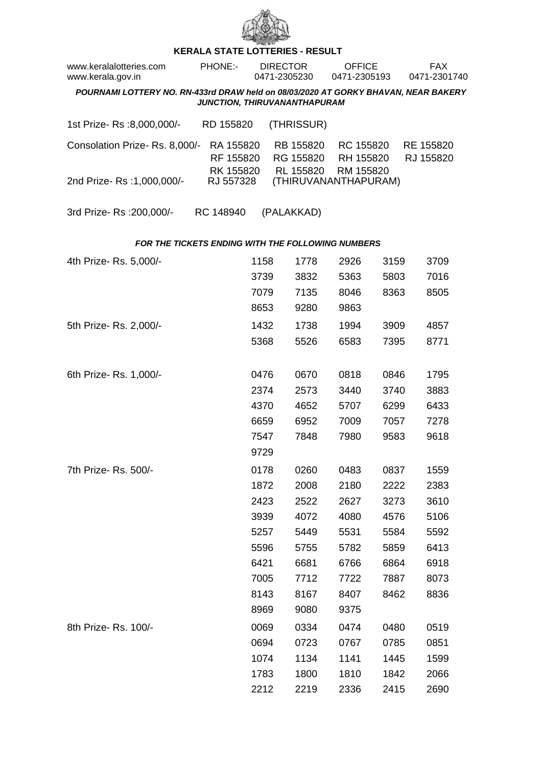

## **KERALA STATE LOTTERIES - RESULT**

| www.keralalotteries.com<br>www.kerala.gov.in                                                                       | PHONE:-                             | <b>DIRECTOR</b><br>0471-2305230 |                                     | <b>OFFICE</b><br>0471-2305193       |      | <b>FAX</b><br>0471-2301740 |  |  |  |  |
|--------------------------------------------------------------------------------------------------------------------|-------------------------------------|---------------------------------|-------------------------------------|-------------------------------------|------|----------------------------|--|--|--|--|
| POURNAMI LOTTERY NO. RN-433rd DRAW held on 08/03/2020 AT GORKY BHAVAN, NEAR BAKERY<br>JUNCTION, THIRUVANANTHAPURAM |                                     |                                 |                                     |                                     |      |                            |  |  |  |  |
|                                                                                                                    |                                     |                                 |                                     |                                     |      |                            |  |  |  |  |
| 1st Prize-Rs :8,000,000/-                                                                                          | RD 155820                           |                                 | (THRISSUR)                          |                                     |      |                            |  |  |  |  |
| Consolation Prize-Rs. 8,000/-                                                                                      | RA 155820<br>RF 155820<br>RK 155820 |                                 | RB 155820<br>RG 155820<br>RL 155820 | RC 155820<br>RH 155820<br>RM 155820 |      | RE 155820<br>RJ 155820     |  |  |  |  |
| 2nd Prize-Rs: 1,000,000/-                                                                                          | RJ 557328                           |                                 |                                     | (THIRUVANANTHAPURAM)                |      |                            |  |  |  |  |
| 3rd Prize-Rs : 200,000/-                                                                                           | RC 148940                           | (PALAKKAD)                      |                                     |                                     |      |                            |  |  |  |  |
| FOR THE TICKETS ENDING WITH THE FOLLOWING NUMBERS                                                                  |                                     |                                 |                                     |                                     |      |                            |  |  |  |  |
| 4th Prize-Rs. 5,000/-                                                                                              |                                     | 1158                            | 1778                                | 2926                                | 3159 | 3709                       |  |  |  |  |
|                                                                                                                    |                                     | 3739                            | 3832                                | 5363                                | 5803 | 7016                       |  |  |  |  |
|                                                                                                                    |                                     | 7079                            | 7135                                | 8046                                | 8363 | 8505                       |  |  |  |  |
|                                                                                                                    |                                     | 8653                            | 9280                                | 9863                                |      |                            |  |  |  |  |
| 5th Prize-Rs. 2,000/-                                                                                              |                                     | 1432                            | 1738                                | 1994                                | 3909 | 4857                       |  |  |  |  |
|                                                                                                                    |                                     | 5368                            | 5526                                | 6583                                | 7395 | 8771                       |  |  |  |  |
|                                                                                                                    |                                     |                                 |                                     |                                     |      |                            |  |  |  |  |
| 6th Prize-Rs. 1,000/-                                                                                              |                                     | 0476                            | 0670                                | 0818                                | 0846 | 1795                       |  |  |  |  |
|                                                                                                                    |                                     | 2374                            | 2573                                | 3440                                | 3740 | 3883                       |  |  |  |  |
|                                                                                                                    |                                     | 4370                            | 4652                                | 5707                                | 6299 | 6433                       |  |  |  |  |
|                                                                                                                    |                                     | 6659                            | 6952                                | 7009                                | 7057 | 7278                       |  |  |  |  |
|                                                                                                                    |                                     | 7547                            | 7848                                | 7980                                | 9583 | 9618                       |  |  |  |  |
|                                                                                                                    |                                     | 9729                            |                                     |                                     |      |                            |  |  |  |  |
| 7th Prize- Rs. 500/-                                                                                               |                                     | 0178                            | 0260                                | 0483                                | 0837 | 1559                       |  |  |  |  |
|                                                                                                                    |                                     | 1872                            | 2008                                | 2180                                | 2222 | 2383                       |  |  |  |  |
|                                                                                                                    |                                     | 2423                            | 2522                                | 2627                                | 3273 | 3610                       |  |  |  |  |
|                                                                                                                    |                                     | 3939                            | 4072                                | 4080                                | 4576 | 5106                       |  |  |  |  |
|                                                                                                                    |                                     | 5257                            | 5449                                | 5531                                | 5584 | 5592                       |  |  |  |  |
|                                                                                                                    |                                     | 5596                            | 5755                                | 5782                                | 5859 | 6413                       |  |  |  |  |
|                                                                                                                    |                                     | 6421                            | 6681                                | 6766                                | 6864 | 6918                       |  |  |  |  |
|                                                                                                                    |                                     | 7005                            | 7712                                | 7722                                | 7887 | 8073                       |  |  |  |  |
|                                                                                                                    |                                     | 8143                            | 8167                                | 8407                                | 8462 | 8836                       |  |  |  |  |
|                                                                                                                    |                                     | 8969                            | 9080                                | 9375                                |      |                            |  |  |  |  |
| 8th Prize-Rs. 100/-                                                                                                |                                     | 0069                            | 0334                                | 0474                                | 0480 | 0519                       |  |  |  |  |
|                                                                                                                    |                                     | 0694                            | 0723                                | 0767                                | 0785 | 0851                       |  |  |  |  |
|                                                                                                                    |                                     | 1074                            | 1134                                | 1141                                | 1445 | 1599                       |  |  |  |  |
|                                                                                                                    |                                     | 1783                            | 1800                                | 1810                                | 1842 | 2066                       |  |  |  |  |

2212 2219 2336 2415 2690